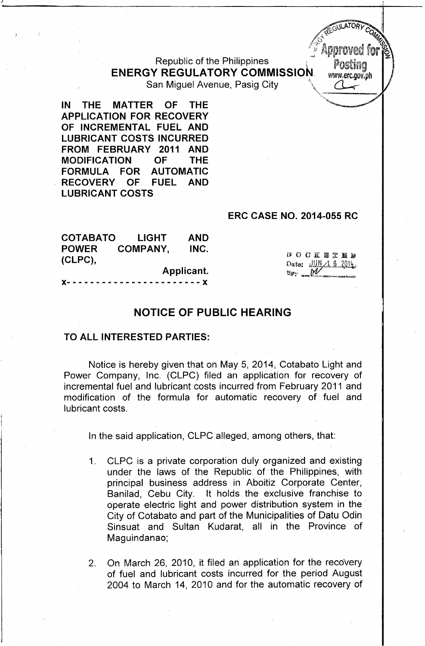Republic of the Philippines **ENERGY REGULATORY COMMISSION.** 

Postina www.erc.gov.ph

San Miquel Avenue, Pasig City

IN THE MATTER OF THE APPLICATION FOR RECOVERY OF INCREMENTAL FUEL AND LUBRICANT COSTS INCURRED FROM FEBRUARY 2011 AND MODIFICATION OF THE FORMULA FOR AUTOMATIC RECOVERY OF FUEL AND LUBRICANT COSTS

~I

#### ERC CASE NO. 2014-055 RC

| <b>COTABATO</b> | <b>LIGHT</b>  | <b>AND</b> |
|-----------------|---------------|------------|
| <b>POWER</b>    | COMPANY, INC. |            |
| (CLPC),         |               |            |
|                 |               | Applicant. |
|                 |               |            |

**DOCKETER** Date: JUN 1.6.2014 987: an M

### NOTICE OF PUBLIC HEARING

#### TO ALL INTERESTED PARTIES:

Notice is hereby given that on May 5, 2014, Cotabato Light and Power Company, Inc. (CLPC) filed an application for recovery of incremental fuel and lubricant costs incurred from February 2011 and modification of the formula for automatic recovery of fuel and lubricant costs.

In the said application, CLPC alleged, among others, that:

- 1. CLPC is a private corporation duly organized and existing under the laws of the Republic of' the Philippines, with principal business address in Aboitiz Corporate Center, Banilad, Cebu City. It holds the exclusive franchise to operate electric light and power distribution system in the. City of Cotabato and part of the Municipalities of Datu Odin Sinsuat and Sultan Kudarat, all in the Province of Maguindanao;
- 2. On March 26, 2010, it filed an application for the recovery of fuel and lubricant costs incurred for the period August 2004 to March 14, 2010 and for the automatic recovery of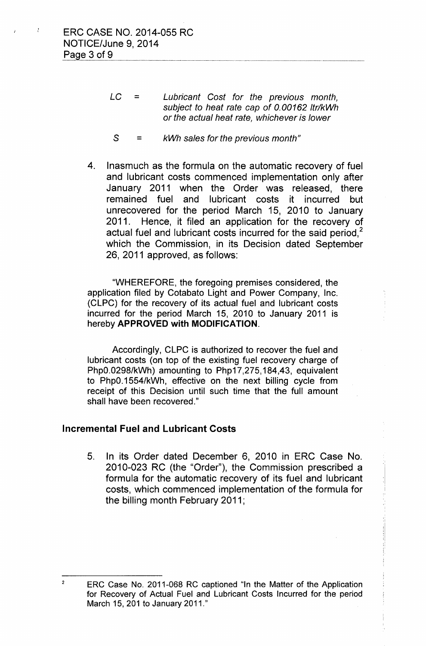- *LC = Lubricant Cost for the previous month, subject to heat rate cap of 0.00162 Itr/kWh or the actual heat rate, whichever is lower*
	- $S =$ *kWh sales for the previous month"*
- 4. Inasmuch as the formula on the automatic recovery of fuel and lubricant costs commenced implementation only after January 2011 when the Order was released, there remained fuel and lubricant costs it incurred but unrecovered for the period March 15, 2010 to January 2011. Hence, it filed an application for the recovery of actual fuel and lubricant costs incurred for the said period.<sup>2</sup> which the Commission, in its Decision dated September 26, 2011 approved, as follows:

"WHEREFORE, the foregoing premises considered, the application filed by Cotabato Light and Power Company, Inc. (CLPC) for the recovery of its actual fuel and lubricant costs incurred for the period March 15, 2010 to January 2011 is hereby **APPROVED with MODIFICATION.**

Accordingly, CLPC is authorized to recover the fuel and lubricant costs (on top of the existing fuel recovery charge of PhpO.0298/kWh) amounting to Php17,275,184,43, equivalent to PhpO.1554/kWh, effective on the next billing cycle from receipt of this Decision until such time that the full amount shall have been recovered."

## **Incremental Fuel and Lubricant Costs**

5. In its Order dated December 6, 2010 in ERC Case No. 2010-023 RC (the "Order"), the Commission prescribed a formula for the automatic recovery of its fuel and lubricant costs, which commenced implementation of the formula for the billing month February 2011;

<sup>2</sup> ERC Case No. 2011-068 RC captioned "In the Matter of the Application for Recovery of Actual Fuel and Lubricant Costs Incurred for the period March 15, 201 to January 2011."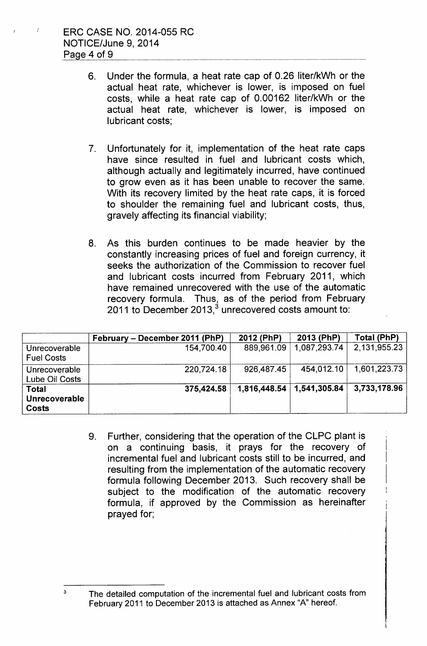- 6. Under the formula, a heat rate cap of 0.26 liter/kWh or the actual heat rate, whichever is lower, is imposed on fuel costs, while a heat rate cap of 0.00162 liter/kWh or the actual heat rate, whichever is lower, is imposed on lubricant costs;
- 7. Unfortunately for it, implementation of the heat rate caps have since resulted in fuel and lubricant costs which, although actually and legitimately incurred, have continued to grow even as it has been unable to recover the same. With its recovery limited by the heat rate caps, it is forced to shoulder the remaining fuel and lubricant costs, thus, gravely affecting its financial viability;
- 8. As this burden continues to be made heavier by the constantly increasing prices of fuel and foreign currency, it seeks the authorization of the Commission to recover fuel and lubricant costs incurred from February 2011, which have remained unrecovered with the use of the automatic recovery formula. Thus, as of the period from February 2011 to December 2013, $3$  unrecovered costs amount to:

|                                        | February – December 2011 (PhP) | 2012 (PhP)   | 2013 (PhP)   | Total (PhP)  |
|----------------------------------------|--------------------------------|--------------|--------------|--------------|
| Unrecoverable<br><b>Fuel Costs</b>     | 154,700.40                     | 889,961.09   | 1,087,293.74 | 2,131,955.23 |
| Unrecoverable<br>Lube Oil Costs        | 220,724.18                     | 926,487.45   | 454,012.10   | 1,601,223.73 |
| Total<br>Unrecoverable<br><b>Costs</b> | 375,424.58                     | 1,816,448.54 | 1,541,305.84 | 3,733,178.96 |

9. Further, considering that the operation of the CLPC plant is on a continuing basis, it prays for the recovery of incremental fuel and lubricant costs still to be incurred, and resulting from the implementation of the automatic recovery formula following December 2013. Such recovery shall be subject to the modification of the automatic recovery formula, if approved by the Commission as hereinafter prayed for;

<sup>&</sup>lt;sup>3</sup> The detailed computation of the incremental fuel and lubricant costs from February 2011 to December 2013 is attached as Annex "A" hereof.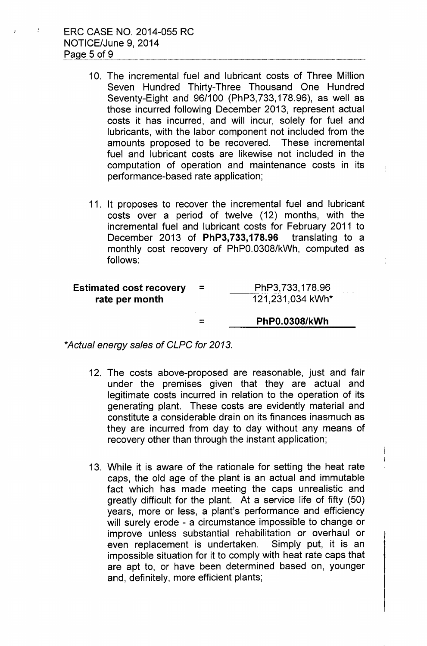$\mathcal{L}_{\mathcal{A}}$ 

- 10. The incremental fuel and lubricant costs of Three Million Seven Hundred Thirty-Three Thousand One Hundred Seventy-Eight and 96/100 (PhP3, 733,178.96), as well as those incurred following December 2013, represent actual costs it has incurred, and will incur, solely for fuel and lubricants, with the labor component not included from the amounts proposed to be recovered. These incremental fuel and lubricant costs are likewise not included in the computation of operation and maintenance costs in its performance-based rate application;
- 11. It proposes to recover the incremental fuel and lubricant costs over a period of twelve (12) months, with the incremental fuel and lubricant costs for February 2011 to December 2013 of **PhP3,733,178.96** translating to a monthly cost recovery of PhPO.0308/kWh, computed as follows:

| <b>Estimated cost recovery</b><br>rate per month | <b>EXECUTE:</b> | PhP3,733,178.96<br>121,231,034 kWh* |
|--------------------------------------------------|-----------------|-------------------------------------|
|                                                  |                 | <b>PhP0.0308/kWh</b>                |

*\*Actual energy sales of CLPC for 2013.*

- 12. The costs above-proposed are reasonable, just and fair under the premises given that they are actual and legitimate costs incurred in relation to the operation of its generating plant. These costs are evidently material and constitute a considerable drain on its finances inasmuch as they are incurred from day to day without any means of recovery other than through the instant application;
- 13. While it is aware of the rationale for setting the heat rate caps, the old age of the plant is an actual and immutable fact which has made meeting the caps unrealistic and greatly difficult for the plant. At a service life of fifty (50) years, more or less, a plant's performance and efficiency will surely erode - a circumstance impossible to change or improve unless substantial rehabilitation or overhaul or even replacement is undertaken. Simply put, it is an impossible situation for it to comply with heat rate caps that are apt to, or have been determined based on, younger and, definitely, more efficient plants;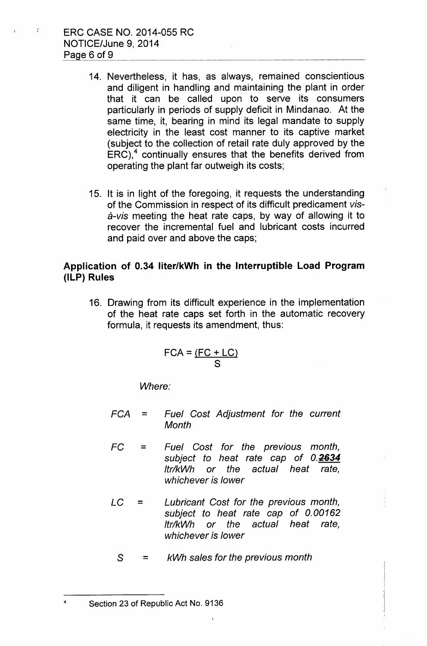$\frac{1}{\pi}$ 

- 14. Nevertheless, it has, as always, remained conscientious and diligent in handling and maintaining the plant in order that it can be called upon to serve its consumers particularly in periods of supply deficit in Mindanao. At the same time, it, bearing in mind its legal mandate to supply electricity in the least cost manner to its captive market (subject to the collection of retail rate duly approved by the  $ERC$ ),<sup>4</sup> continually ensures that the benefits derived from operating the plant far outweigh its costs;
- 15. It is in light of the foregoing, it requests the understanding of the Commission in respect of its difficult predicament *visa-vis* meeting the heat rate caps, by way of allowing it to recover the incremental fuel and lubricant costs incurred and paid over and above the caps;

# **Application of 0.34 liter/kWh in the Interruptible Load Program (ILP) Rules**

16. Drawing from its difficult experience in the implementation of the heat rate caps set forth in the automatic recovery formula, it requests its amendment, thus:

$$
FCA = \frac{(FC + LC)}{S}
$$

*Where:*

- *FCA* = *Fuel Cost Adjustment for the current Month*
- *FC* = *Fuel Cost for the previous month, subject to heat rate cap* of *0.-2634 Itr/kWh or the actual heat rate, whichever is lower*
- *LC* = *Lubricant Cost for the previous month, subject to heat rate cap* of *0.00162 Itr/kWh or the actual heat rate, whichever is lower*
	- S = *kWh sales for the previous month*

<sup>4</sup> Section 23 of Republic Act No. 9136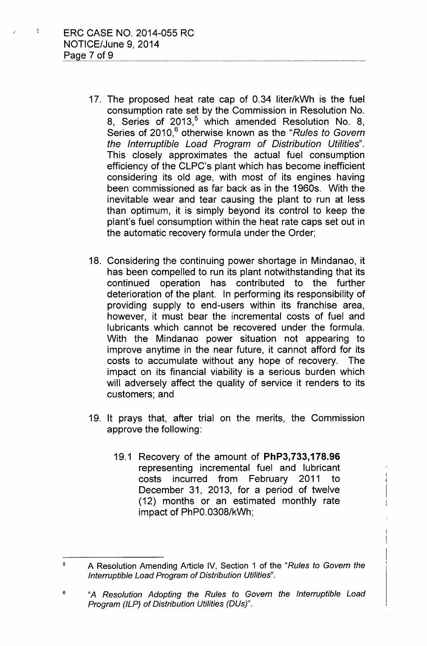$\ddot{\bullet}$ 

- 17. The proposed heat rate cap of 0.34 liter/kWh is the fuel consumption rate set by the Commission in Resolution No. 8, Series of 2013,<sup>5</sup> which amended Resolution No. 8, Series of 2010,<sup>6</sup> otherwise known as the "Rules to Govern *the Interruptible Load Program* of *Distribution Utilities".* This closely approximates the actual fuel consumption efficiency of the CLPC's plant which has become inefficient considering its old age, with most of its engines having been commissioned as far back as in the 1960s. With the inevitable wear and tear causing the plant to run at less than optimum, it is simply beyond its control to keep the plant's fuel consumption within the heat rate caps set out in the automatic recovery formula under the Order;
- 18. Considering the continuing power shortage in Mindanao, it has been compelled to run its plant notwithstanding that its continued operation has contributed to the further deterioration of the plant. In performing its responsibility of providing supply to end-users within its franchise area, however, it must bear the incremental costs of fuel and lubricants which cannot be recovered under the formula. With the Mindanao power situation not appearing to improve anytime in the near future, it cannot afford for its costs to accumulate without any hope of recovery. The impact on its financial viability is a serious burden which will adversely affect the quality of service it renders to its customers; and
- 19. It prays that, after trial on the merits, the Commission approve the following:
	- 19.1 Recovery of the amount of **PhP3,** 733,178.96 representing incremental fuel and lubricant costs incurred from February 2011 to December 31, 2013, for a period of twelve (12) months or an estimated monthly rate impact of PhPO.0308/kWh;

<sup>5</sup> A Resolution Amending Article IV, Section 1 of the *"Rules to Govern the Interruptible Load Program of Distribution Utilities".*

<sup>6</sup> "A *Resolution Adopting the Rules to Govern the Interruptible Load Program (ILP) of Distribution Utilities (DUs)".*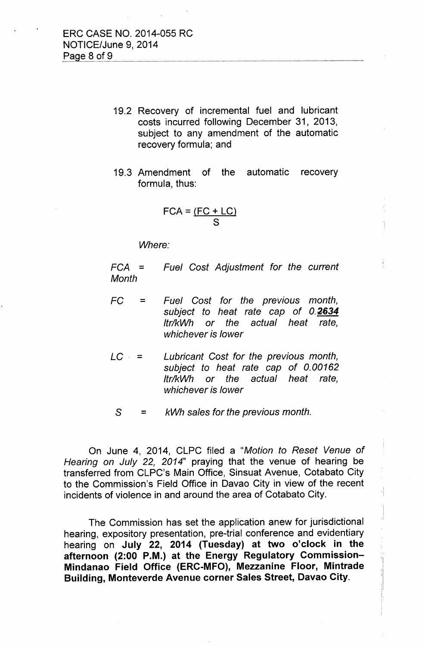- 19.2 Recovery of incremental fuel and lubricant costs incurred following December 31, 2013, subject to any amendment of the automatic recovery formula; and
- 19.3 Amendment of the automatic recovery formula, thus:

$$
FCA = \frac{(FC + LC)}{S}
$$

*Where:*

*FCA = Month Fuel Cost Adjustment for the current*

- *FC = Fuel Cost for the previous month, subject to heat rate cap* of *0.2634 Itr/kWh or the actual heat rate, whichever is lower*
- *LC .* = *Lubricant Cost for the previous month, subject to heat rate cap* of *0.00162 Itr/kWh or the actual heat rate, whichever is lower*
	- s <sup>=</sup> *kWh sales for the previous month.*

On June 4, 2014, CLPC filed a *"Motion to Reset Venue* of *Hearing on July* 22, *2014"* praying that the venue of hearing be transferred from CLPC's Main Office, Sinsuat Avenue, Cotabato City to the Commission's Field Office in Davao City in view of the recent incidents of violence in and around the area of Cotabato City.

The Commission has set the application anew for jurisdictional hearing, expository presentation, pre-trial conference and evidentiary hearing on July 22, 2014 (Tuesday) at two o'clock in the afternoon (2:00 P.M.) at the Energy Regulatory Commission-Mindanao Field Office (ERC-MFO), Mezzanine Floor, Mintrade Building, Monteverde Avenue corner Sales Street, Davao City.